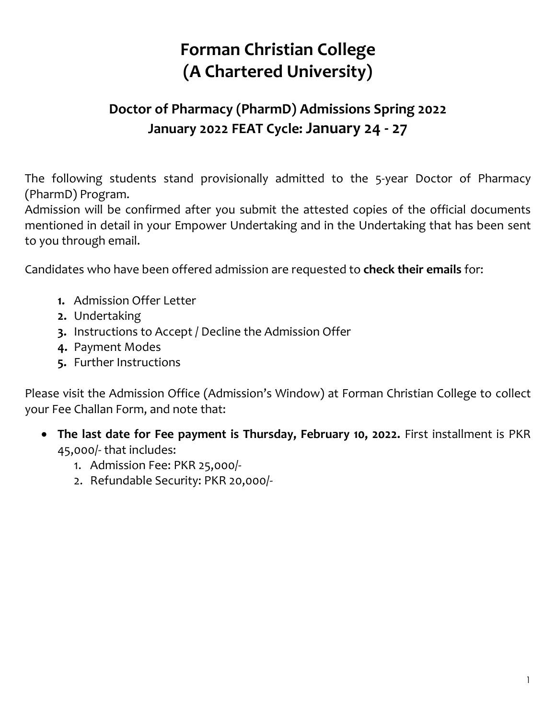## **Forman Christian College (A Chartered University)**

## **Doctor of Pharmacy (PharmD) Admissions Spring 2022 January 2022 FEAT Cycle: January 24 - 27**

The following students stand provisionally admitted to the 5-year Doctor of Pharmacy (PharmD) Program.

Admission will be confirmed after you submit the attested copies of the official documents mentioned in detail in your Empower Undertaking and in the Undertaking that has been sent to you through email.

Candidates who have been offered admission are requested to **check their emails** for:

- **1.** Admission Offer Letter
- **2.** Undertaking
- **3.** Instructions to Accept / Decline the Admission Offer
- **4.** Payment Modes
- **5.** Further Instructions

Please visit the Admission Office (Admission's Window) at Forman Christian College to collect your Fee Challan Form, and note that:

- **The last date for Fee payment is Thursday, February 10, 2022.** First installment is PKR 45,000/- that includes:
	- 1. Admission Fee: PKR 25,000/-
	- 2. Refundable Security: PKR 20,000/-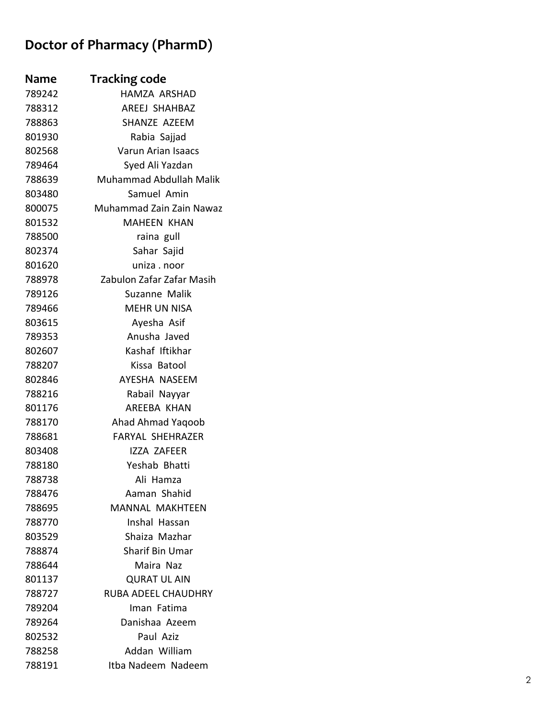## **Doctor of Pharmacy (PharmD)**

| <b>Name</b> | <b>Tracking code</b>       |
|-------------|----------------------------|
| 789242      | HAMZA ARSHAD               |
| 788312      | AREEJ SHAHBAZ              |
| 788863      | SHANZE AZEEM               |
| 801930      | Rabia Sajjad               |
| 802568      | <b>Varun Arian Isaacs</b>  |
| 789464      | Syed Ali Yazdan            |
| 788639      | Muhammad Abdullah Malik    |
| 803480      | Samuel Amin                |
| 800075      | Muhammad Zain Zain Nawaz   |
| 801532      | <b>MAHEEN KHAN</b>         |
| 788500      | raina gull                 |
| 802374      | Sahar Sajid                |
| 801620      | uniza . noor               |
| 788978      | Zabulon Zafar Zafar Masih  |
| 789126      | Suzanne Malik              |
| 789466      | <b>MEHR UN NISA</b>        |
| 803615      | Ayesha Asif                |
| 789353      | Anusha Javed               |
| 802607      | Kashaf Iftikhar            |
| 788207      | Kissa Batool               |
| 802846      | AYESHA NASEEM              |
| 788216      | Rabail Nayyar              |
| 801176      | AREEBA KHAN                |
| 788170      | Ahad Ahmad Yaqoob          |
| 788681      | <b>FARYAL SHEHRAZER</b>    |
| 803408      | <b>IZZA ZAFEER</b>         |
| 788180      | Yeshab Bhatti              |
| 788738      | Ali Hamza                  |
| 788476      | Aaman Shahid               |
| 788695      | <b>MANNAL MAKHTEEN</b>     |
| 788770      | Inshal Hassan              |
| 803529      | Shaiza Mazhar              |
| 788874      | <b>Sharif Bin Umar</b>     |
| 788644      | Maira Naz                  |
| 801137      | <b>QURAT UL AIN</b>        |
| 788727      | <b>RUBA ADEEL CHAUDHRY</b> |
| 789204      | Iman Fatima                |
| 789264      | Danishaa Azeem             |
| 802532      | Paul Aziz                  |
| 788258      | Addan William              |
| 788191      | Itba Nadeem Nadeem         |